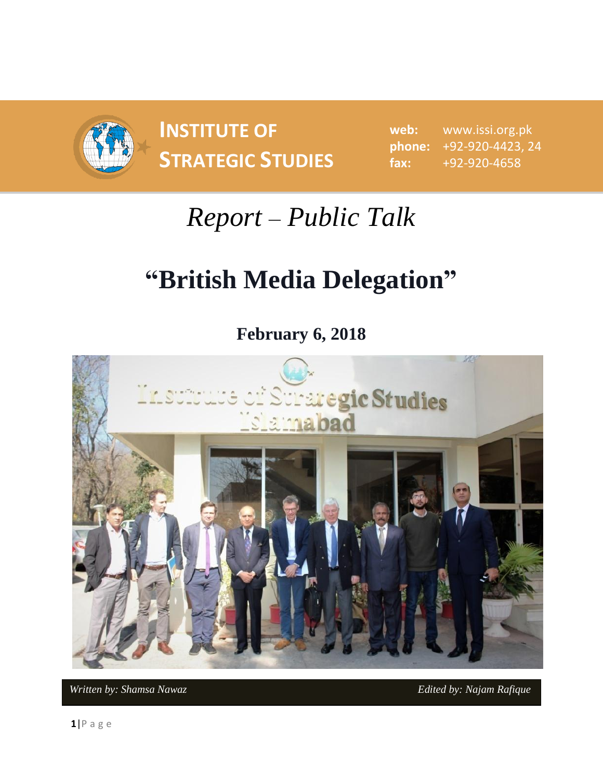

**INSTITUTE OF STRATEGIC STUDIES**  $\begin{bmatrix} 1 & 0 & 0 \\ 0 & 1 & 0 \\ 0 & 0 & 1 \end{bmatrix}$ 

**web:** www.issi.org.pk **phone:** +92-920-4423, 24 **fax:** +92-920-4658

## *Report – Public Talk*

## **"British Media Delegation"**

**February 6, 2018**



*Written by: Shamsa Nawaz* **Edited by: Najam Rafique Edited by: Najam Rafique**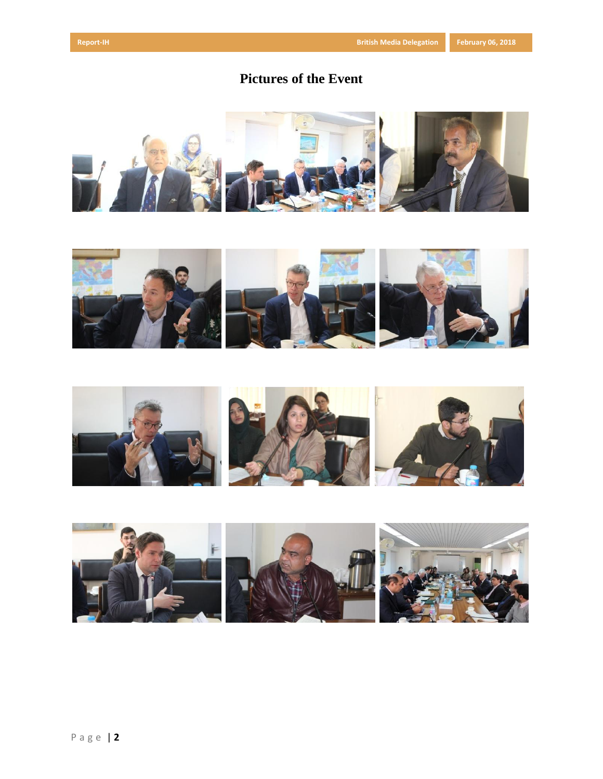## **Pictures of the Event**







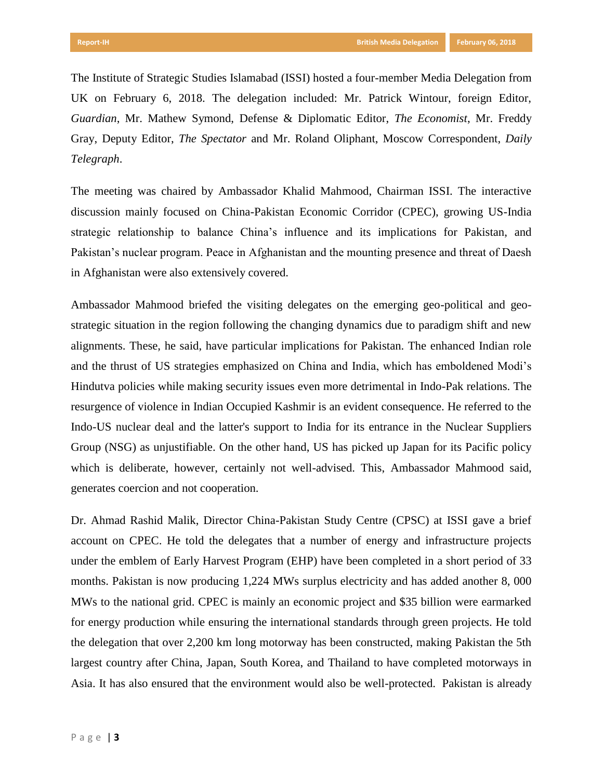The Institute of Strategic Studies Islamabad (ISSI) hosted a four-member Media Delegation from UK on February 6, 2018. The delegation included: Mr. Patrick Wintour, foreign Editor, *Guardian*, Mr. Mathew Symond, Defense & Diplomatic Editor, *The Economist*, Mr. Freddy Gray, Deputy Editor, *The Spectator* and Mr. Roland Oliphant, Moscow Correspondent, *Daily Telegraph*.

The meeting was chaired by Ambassador Khalid Mahmood, Chairman ISSI. The interactive discussion mainly focused on China-Pakistan Economic Corridor (CPEC), growing US-India strategic relationship to balance China's influence and its implications for Pakistan, and Pakistan's nuclear program. Peace in Afghanistan and the mounting presence and threat of Daesh in Afghanistan were also extensively covered.

Ambassador Mahmood briefed the visiting delegates on the emerging geo-political and geostrategic situation in the region following the changing dynamics due to paradigm shift and new alignments. These, he said, have particular implications for Pakistan. The enhanced Indian role and the thrust of US strategies emphasized on China and India, which has emboldened Modi's Hindutva policies while making security issues even more detrimental in Indo-Pak relations. The resurgence of violence in Indian Occupied Kashmir is an evident consequence. He referred to the Indo-US nuclear deal and the latter's support to India for its entrance in the Nuclear Suppliers Group (NSG) as unjustifiable. On the other hand, US has picked up Japan for its Pacific policy which is deliberate, however, certainly not well-advised. This, Ambassador Mahmood said, generates coercion and not cooperation.

Dr. Ahmad Rashid Malik, Director China-Pakistan Study Centre (CPSC) at ISSI gave a brief account on CPEC. He told the delegates that a number of energy and infrastructure projects under the emblem of Early Harvest Program (EHP) have been completed in a short period of 33 months. Pakistan is now producing 1,224 MWs surplus electricity and has added another 8, 000 MWs to the national grid. CPEC is mainly an economic project and \$35 billion were earmarked for energy production while ensuring the international standards through green projects. He told the delegation that over 2,200 km long motorway has been constructed, making Pakistan the 5th largest country after China, Japan, South Korea, and Thailand to have completed motorways in Asia. It has also ensured that the environment would also be well-protected. Pakistan is already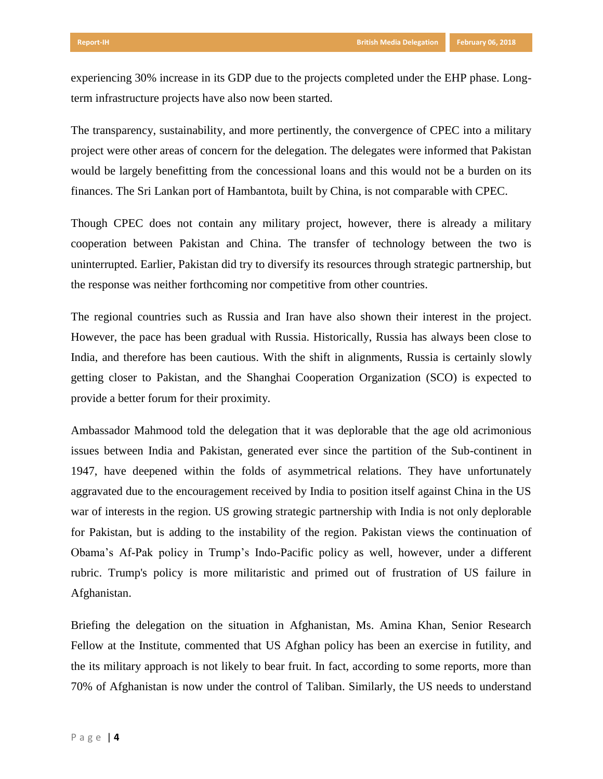experiencing 30% increase in its GDP due to the projects completed under the EHP phase. Longterm infrastructure projects have also now been started.

The transparency, sustainability, and more pertinently, the convergence of CPEC into a military project were other areas of concern for the delegation. The delegates were informed that Pakistan would be largely benefitting from the concessional loans and this would not be a burden on its finances. The Sri Lankan port of Hambantota, built by China, is not comparable with CPEC.

Though CPEC does not contain any military project, however, there is already a military cooperation between Pakistan and China. The transfer of technology between the two is uninterrupted. Earlier, Pakistan did try to diversify its resources through strategic partnership, but the response was neither forthcoming nor competitive from other countries.

The regional countries such as Russia and Iran have also shown their interest in the project. However, the pace has been gradual with Russia. Historically, Russia has always been close to India, and therefore has been cautious. With the shift in alignments, Russia is certainly slowly getting closer to Pakistan, and the Shanghai Cooperation Organization (SCO) is expected to provide a better forum for their proximity.

Ambassador Mahmood told the delegation that it was deplorable that the age old acrimonious issues between India and Pakistan, generated ever since the partition of the Sub-continent in 1947, have deepened within the folds of asymmetrical relations. They have unfortunately aggravated due to the encouragement received by India to position itself against China in the US war of interests in the region. US growing strategic partnership with India is not only deplorable for Pakistan, but is adding to the instability of the region. Pakistan views the continuation of Obama's Af-Pak policy in Trump's Indo-Pacific policy as well, however, under a different rubric. Trump's policy is more militaristic and primed out of frustration of US failure in Afghanistan.

Briefing the delegation on the situation in Afghanistan, Ms. Amina Khan, Senior Research Fellow at the Institute, commented that US Afghan policy has been an exercise in futility, and the its military approach is not likely to bear fruit. In fact, according to some reports, more than 70% of Afghanistan is now under the control of Taliban. Similarly, the US needs to understand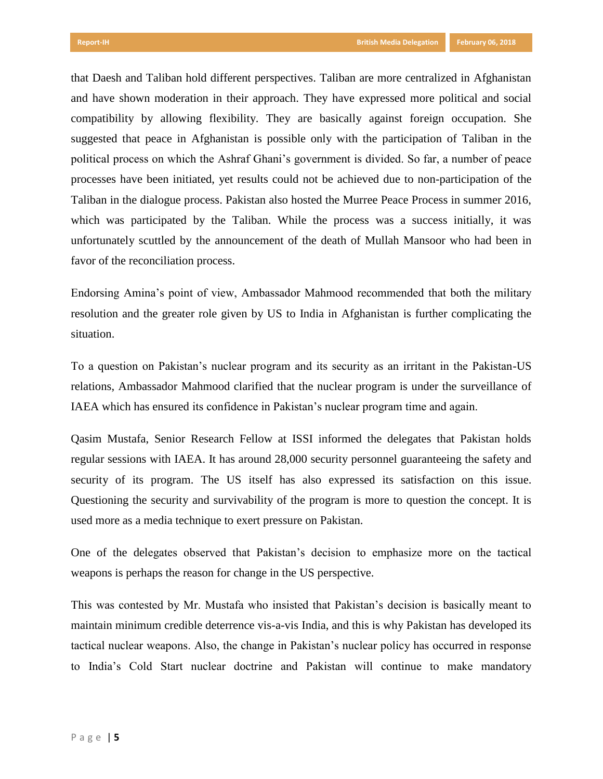that Daesh and Taliban hold different perspectives. Taliban are more centralized in Afghanistan and have shown moderation in their approach. They have expressed more political and social compatibility by allowing flexibility. They are basically against foreign occupation. She suggested that peace in Afghanistan is possible only with the participation of Taliban in the political process on which the Ashraf Ghani's government is divided. So far, a number of peace processes have been initiated, yet results could not be achieved due to non-participation of the Taliban in the dialogue process. Pakistan also hosted the Murree Peace Process in summer 2016, which was participated by the Taliban. While the process was a success initially, it was unfortunately scuttled by the announcement of the death of Mullah Mansoor who had been in favor of the reconciliation process.

Endorsing Amina's point of view, Ambassador Mahmood recommended that both the military resolution and the greater role given by US to India in Afghanistan is further complicating the situation.

To a question on Pakistan's nuclear program and its security as an irritant in the Pakistan-US relations, Ambassador Mahmood clarified that the nuclear program is under the surveillance of IAEA which has ensured its confidence in Pakistan's nuclear program time and again.

Qasim Mustafa, Senior Research Fellow at ISSI informed the delegates that Pakistan holds regular sessions with IAEA. It has around 28,000 security personnel guaranteeing the safety and security of its program. The US itself has also expressed its satisfaction on this issue. Questioning the security and survivability of the program is more to question the concept. It is used more as a media technique to exert pressure on Pakistan.

One of the delegates observed that Pakistan's decision to emphasize more on the tactical weapons is perhaps the reason for change in the US perspective.

This was contested by Mr. Mustafa who insisted that Pakistan's decision is basically meant to maintain minimum credible deterrence vis-a-vis India, and this is why Pakistan has developed its tactical nuclear weapons. Also, the change in Pakistan's nuclear policy has occurred in response to India's Cold Start nuclear doctrine and Pakistan will continue to make mandatory